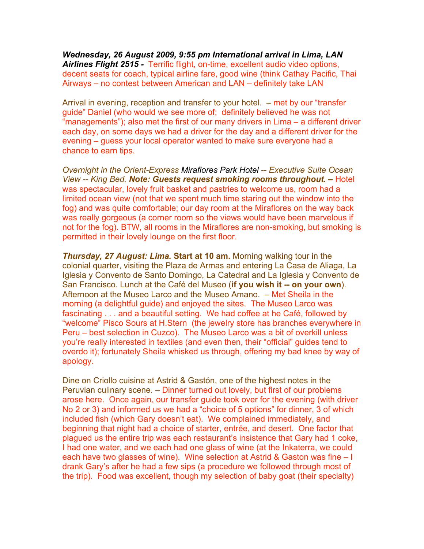*Wednesday, 26 August 2009, 9:55 pm International arrival in Lima, LAN Airlines Flight 2515 -* Terrific flight, on-time, excellent audio video options, decent seats for coach, typical airline fare, good wine (think Cathay Pacific, Thai Airways – no contest between American and LAN – definitely take LAN

Arrival in evening, reception and transfer to your hotel. – met by our "transfer guide" Daniel (who would we see more of; definitely believed he was not "managements"); also met the first of our many drivers in Lima – a different driver each day, on some days we had a driver for the day and a different driver for the evening – guess your local operator wanted to make sure everyone had a chance to earn tips.

*Overnight in the Orient-Express Miraflores Park Hotel -- Executive Suite Ocean View -- King Bed. Note: Guests request smoking rooms throughout. –* Hotel was spectacular, lovely fruit basket and pastries to welcome us, room had a limited ocean view (not that we spent much time staring out the window into the fog) and was quite comfortable; our day room at the Miraflores on the way back was really gorgeous (a corner room so the views would have been marvelous if not for the fog). BTW, all rooms in the Miraflores are non-smoking, but smoking is permitted in their lovely lounge on the first floor.

*Thursday, 27 August: Lima.* **Start at 10 am.** Morning walking tour in the colonial quarter, visiting the Plaza de Armas and entering La Casa de Aliaga, La Iglesia y Convento de Santo Domingo, La Catedral and La Iglesia y Convento de San Francisco. Lunch at the Café del Museo (**if you wish it -- on your own**). Afternoon at the Museo Larco and the Museo Amano. – Met Sheila in the morning (a delightful guide) and enjoyed the sites. The Museo Larco was fascinating . . . and a beautiful setting. We had coffee at he Café, followed by "welcome" Pisco Sours at H.Stern (the jewelry store has branches everywhere in Peru – best selection in Cuzco). The Museo Larco was a bit of overkill unless you're really interested in textiles (and even then, their "official" guides tend to overdo it); fortunately Sheila whisked us through, offering my bad knee by way of apology.

Dine on Criollo cuisine at Astrid & Gastón, one of the highest notes in the Peruvian culinary scene. – Dinner turned out lovely, but first of our problems arose here. Once again, our transfer guide took over for the evening (with driver No 2 or 3) and informed us we had a "choice of 5 options" for dinner, 3 of which included fish (which Gary doesn't eat). We complained immediately, and beginning that night had a choice of starter, entrée, and desert. One factor that plagued us the entire trip was each restaurant's insistence that Gary had 1 coke, I had one water, and we each had one glass of wine (at the Inkaterra, we could each have two glasses of wine). Wine selection at Astrid & Gaston was fine – I drank Gary's after he had a few sips (a procedure we followed through most of the trip). Food was excellent, though my selection of baby goat (their specialty)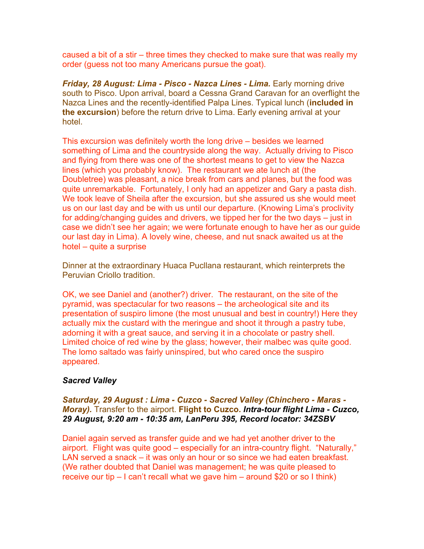caused a bit of a stir – three times they checked to make sure that was really my order (guess not too many Americans pursue the goat).

*Friday, 28 August: Lima - Pisco - Nazca Lines - Lima. Early morning drive* south to Pisco. Upon arrival, board a Cessna Grand Caravan for an overflight the Nazca Lines and the recently-identified Palpa Lines. Typical lunch (**included in the excursion**) before the return drive to Lima. Early evening arrival at your hotel.

This excursion was definitely worth the long drive – besides we learned something of Lima and the countryside along the way. Actually driving to Pisco and flying from there was one of the shortest means to get to view the Nazca lines (which you probably know). The restaurant we ate lunch at (the Doubletree) was pleasant, a nice break from cars and planes, but the food was quite unremarkable. Fortunately, I only had an appetizer and Gary a pasta dish. We took leave of Sheila after the excursion, but she assured us she would meet us on our last day and be with us until our departure. (Knowing Lima's proclivity for adding/changing guides and drivers, we tipped her for the two days – just in case we didn't see her again; we were fortunate enough to have her as our guide our last day in Lima). A lovely wine, cheese, and nut snack awaited us at the hotel – quite a surprise

Dinner at the extraordinary Huaca Pucllana restaurant, which reinterprets the Peruvian Criollo tradition.

OK, we see Daniel and (another?) driver. The restaurant, on the site of the pyramid, was spectacular for two reasons – the archeological site and its presentation of suspiro limone (the most unusual and best in country!) Here they actually mix the custard with the meringue and shoot it through a pastry tube, adorning it with a great sauce, and serving it in a chocolate or pastry shell. Limited choice of red wine by the glass; however, their malbec was quite good. The lomo saltado was fairly uninspired, but who cared once the suspiro appeared.

# *Sacred Valley*

# *Saturday, 29 August : Lima - Cuzco - Sacred Valley (Chinchero - Maras - Moray).* Transfer to the airport. **Flight to Cuzco.** *Intra-tour flight Lima - Cuzco, 29 August, 9:20 am - 10:35 am, LanPeru 395, Record locator: 34ZSBV*

Daniel again served as transfer guide and we had yet another driver to the airport. Flight was quite good – especially for an intra-country flight. "Naturally," LAN served a snack – it was only an hour or so since we had eaten breakfast. (We rather doubted that Daniel was management; he was quite pleased to receive our tip – I can't recall what we gave him – around \$20 or so I think)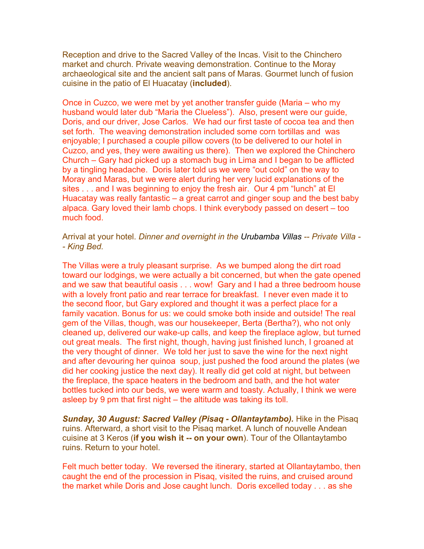Reception and drive to the Sacred Valley of the Incas. Visit to the Chinchero market and church. Private weaving demonstration. Continue to the Moray archaeological site and the ancient salt pans of Maras. Gourmet lunch of fusion cuisine in the patio of El Huacatay (**included**).

Once in Cuzco, we were met by yet another transfer guide (Maria – who my husband would later dub "Maria the Clueless"). Also, present were our guide, Doris, and our driver, Jose Carlos. We had our first taste of cocoa tea and then set forth. The weaving demonstration included some corn tortillas and was enjoyable; I purchased a couple pillow covers (to be delivered to our hotel in Cuzco, and yes, they were awaiting us there). Then we explored the Chinchero Church – Gary had picked up a stomach bug in Lima and I began to be afflicted by a tingling headache. Doris later told us we were "out cold" on the way to Moray and Maras, but we were alert during her very lucid explanations of the sites . . . and I was beginning to enjoy the fresh air. Our 4 pm "lunch" at El Huacatay was really fantastic – a great carrot and ginger soup and the best baby alpaca. Gary loved their lamb chops. I think everybody passed on desert – too much food.

Arrival at your hotel. *Dinner and overnight in the Urubamba Villas -- Private Villa - - King Bed.*

The Villas were a truly pleasant surprise. As we bumped along the dirt road toward our lodgings, we were actually a bit concerned, but when the gate opened and we saw that beautiful oasis . . . wow! Gary and I had a three bedroom house with a lovely front patio and rear terrace for breakfast. I never even made it to the second floor, but Gary explored and thought it was a perfect place for a family vacation. Bonus for us: we could smoke both inside and outside! The real gem of the Villas, though, was our housekeeper, Berta (Bertha?), who not only cleaned up, delivered our wake-up calls, and keep the fireplace aglow, but turned out great meals. The first night, though, having just finished lunch, I groaned at the very thought of dinner. We told her just to save the wine for the next night and after devouring her quinoa soup, just pushed the food around the plates (we did her cooking justice the next day). It really did get cold at night, but between the fireplace, the space heaters in the bedroom and bath, and the hot water bottles tucked into our beds, we were warm and toasty. Actually, I think we were asleep by 9 pm that first night – the altitude was taking its toll.

**Sunday, 30 August: Sacred Valley (Pisaq - Ollantaytambo).** Hike in the Pisaq ruins. Afterward, a short visit to the Pisaq market. A lunch of nouvelle Andean cuisine at 3 Keros (**if you wish it -- on your own**). Tour of the Ollantaytambo ruins. Return to your hotel.

Felt much better today. We reversed the itinerary, started at Ollantaytambo, then caught the end of the procession in Pisaq, visited the ruins, and cruised around the market while Doris and Jose caught lunch. Doris excelled today . . . as she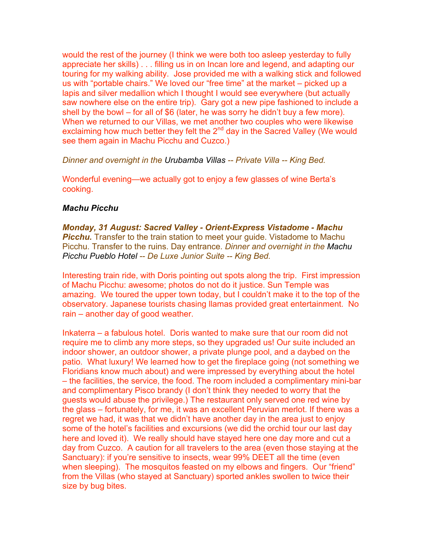would the rest of the journey (I think we were both too asleep yesterday to fully appreciate her skills) . . . filling us in on Incan lore and legend, and adapting our touring for my walking ability. Jose provided me with a walking stick and followed us with "portable chairs." We loved our "free time" at the market – picked up a lapis and silver medallion which I thought I would see everywhere (but actually saw nowhere else on the entire trip). Gary got a new pipe fashioned to include a shell by the bowl – for all of \$6 (later, he was sorry he didn't buy a few more). When we returned to our Villas, we met another two couples who were likewise exclaiming how much better they felt the  $2<sup>nd</sup>$  day in the Sacred Valley (We would see them again in Machu Picchu and Cuzco.)

*Dinner and overnight in the Urubamba Villas -- Private Villa -- King Bed.*

Wonderful evening—we actually got to enjoy a few glasses of wine Berta's cooking.

## *Machu Picchu*

*Monday, 31 August: Sacred Valley - Orient-Express Vistadome - Machu*  **Picchu.** Transfer to the train station to meet your quide. Vistadome to Machu Picchu. Transfer to the ruins. Day entrance. *Dinner and overnight in the Machu Picchu Pueblo Hotel -- De Luxe Junior Suite -- King Bed.*

Interesting train ride, with Doris pointing out spots along the trip. First impression of Machu Picchu: awesome; photos do not do it justice. Sun Temple was amazing. We toured the upper town today, but I couldn't make it to the top of the observatory. Japanese tourists chasing llamas provided great entertainment. No rain – another day of good weather.

Inkaterra – a fabulous hotel. Doris wanted to make sure that our room did not require me to climb any more steps, so they upgraded us! Our suite included an indoor shower, an outdoor shower, a private plunge pool, and a daybed on the patio. What luxury! We learned how to get the fireplace going (not something we Floridians know much about) and were impressed by everything about the hotel – the facilities, the service, the food. The room included a complimentary mini-bar and complimentary Pisco brandy (I don't think they needed to worry that the guests would abuse the privilege.) The restaurant only served one red wine by the glass – fortunately, for me, it was an excellent Peruvian merlot. If there was a regret we had, it was that we didn't have another day in the area just to enjoy some of the hotel's facilities and excursions (we did the orchid tour our last day here and loved it). We really should have stayed here one day more and cut a day from Cuzco. A caution for all travelers to the area (even those staying at the Sanctuary): if you're sensitive to insects, wear 99% DEET all the time (even when sleeping). The mosquitos feasted on my elbows and fingers. Our "friend" from the Villas (who stayed at Sanctuary) sported ankles swollen to twice their size by bug bites.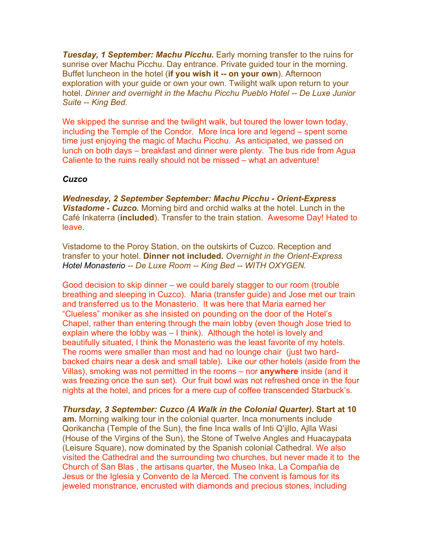**Tuesday, 1 September: Machu Picchu.** Early morning transfer to the ruins for sunrise over Machu Picchu. Day entrance. Private guided tour in the morning. Buffet luncheon in the hotel (**if you wish it -- on your own**). Afternoon exploration with your guide or own your own. Twilight walk upon return to your hotel. *Dinner and overnight in the Machu Picchu Pueblo Hotel -- De Luxe Junior Suite -- King Bed.*

We skipped the sunrise and the twilight walk, but toured the lower town today, including the Temple of the Condor. More Inca lore and legend – spent some time just enjoying the magic of Machu Picchu. As anticipated, we passed on lunch on both days – breakfast and dinner were plenty. The bus ride from Agua Caliente to the ruins really should not be missed – what an adventure!

### *Cuzco*

*Wednesday, 2 September September: Machu Picchu - Orient-Express Vistadome - Cuzco.* Morning bird and orchid walks at the hotel. Lunch in the Café Inkaterra (**included**). Transfer to the train station. Awesome Day! Hated to leave.

Vistadome to the Poroy Station, on the outskirts of Cuzco. Reception and transfer to your hotel. **Dinner not included.** *Overnight in the Orient-Express Hotel Monasterio -- De Luxe Room -- King Bed -- WITH OXYGEN.*

Good decision to skip dinner – we could barely stagger to our room (trouble breathing and sleeping in Cuzco). Maria (transfer guide) and Jose met our train and transferred us to the Monasterio. It was here that Maria earned her "Clueless" moniker as she insisted on pounding on the door of the Hotel's Chapel, rather than entering through the main lobby (even though Jose tried to explain where the lobby was – I think). Although the hotel is lovely and beautifully situated, I think the Monasterio was the least favorite of my hotels. The rooms were smaller than most and had no lounge chair (just two hardbacked chairs near a desk and small table). Like our other hotels (aside from the Villas), smoking was not permitted in the rooms – nor **anywhere** inside (and it was freezing once the sun set). Our fruit bowl was not refreshed once in the four nights at the hotel, and prices for a mere cup of coffee transcended Starbuck's.

*Thursday, 3 September: Cuzco (A Walk in the Colonial Quarter).* **Start at 10 am.** Morning walking tour in the colonial quarter. Inca monuments include Qorikancha (Temple of the Sun), the fine Inca walls of Inti Q'ijllo, Ajlla Wasi (House of the Virgins of the Sun), the Stone of Twelve Angles and Huacaypata (Leisure Square), now dominated by the Spanish colonial Cathedral. We also visited the Cathedral and the surrounding two churches, but never made it to the Church of San Blas , the artisans quarter, the Museo Inka, La Compañia de Jesus or the Iglesia y Convento de la Merced. The convent is famous for its jeweled monstrance, encrusted with diamonds and precious stones, including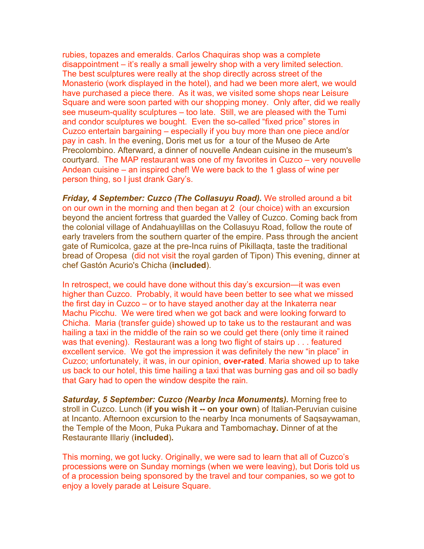rubies, topazes and emeralds. Carlos Chaquiras shop was a complete disappointment – it's really a small jewelry shop with a very limited selection. The best sculptures were really at the shop directly across street of the Monasterio (work displayed in the hotel), and had we been more alert, we would have purchased a piece there. As it was, we visited some shops near Leisure Square and were soon parted with our shopping money. Only after, did we really see museum-quality sculptures – too late. Still, we are pleased with the Tumi and condor sculptures we bought. Even the so-called "fixed price" stores in Cuzco entertain bargaining – especially if you buy more than one piece and/or pay in cash. In the evening, Doris met us for a tour of the Museo de Arte Precolombino. Afterward, a dinner of nouvelle Andean cuisine in the museum's courtyard. The MAP restaurant was one of my favorites in Cuzco – very nouvelle Andean cuisine – an inspired chef! We were back to the 1 glass of wine per person thing, so I just drank Gary's.

*Friday, 4 September: Cuzco (The Collasuyu Road).* We strolled around a bit on our own in the morning and then began at 2 (our choice) with an excursion beyond the ancient fortress that guarded the Valley of Cuzco. Coming back from the colonial village of Andahuaylillas on the Collasuyu Road, follow the route of early travelers from the southern quarter of the empire. Pass through the ancient gate of Rumicolca, gaze at the pre-Inca ruins of Pikillaqta, taste the traditional bread of Oropesa (did not visit the royal garden of Tipon) This evening, dinner at chef Gastón Acurio's Chicha (**included**).

In retrospect, we could have done without this day's excursion—it was even higher than Cuzco. Probably, it would have been better to see what we missed the first day in Cuzco – or to have stayed another day at the Inkaterra near Machu Picchu. We were tired when we got back and were looking forward to Chicha. Maria (transfer guide) showed up to take us to the restaurant and was hailing a taxi in the middle of the rain so we could get there (only time it rained was that evening). Restaurant was a long two flight of stairs up . . . featured excellent service. We got the impression it was definitely the new "in place" in Cuzco; unfortunately, it was, in our opinion, **over-rated**. Maria showed up to take us back to our hotel, this time hailing a taxi that was burning gas and oil so badly that Gary had to open the window despite the rain.

*Saturday, 5 September: Cuzco (Nearby Inca Monuments).* Morning free to stroll in Cuzco. Lunch (**if you wish it -- on your own**) of Italian-Peruvian cuisine at Incanto. Afternoon excursion to the nearby Inca monuments of Saqsaywaman, the Temple of the Moon, Puka Pukara and Tambomacha**y.** Dinner of at the Restaurante Illariy (**included**)**.** 

This morning, we got lucky. Originally, we were sad to learn that all of Cuzco's processions were on Sunday mornings (when we were leaving), but Doris told us of a procession being sponsored by the travel and tour companies, so we got to enjoy a lovely parade at Leisure Square.